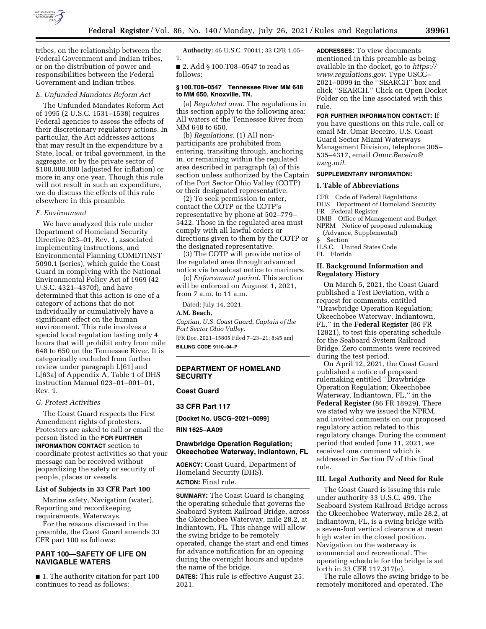

tribes, on the relationship between the Federal Government and Indian tribes, or on the distribution of power and responsibilities between the Federal Government and Indian tribes.

## *E. Unfunded Mandates Reform Act*

The Unfunded Mandates Reform Act of 1995 (2 U.S.C. 1531–1538) requires Federal agencies to assess the effects of their discretionary regulatory actions. In particular, the Act addresses actions that may result in the expenditure by a State, local, or tribal government, in the aggregate, or by the private sector of \$100,000,000 (adjusted for inflation) or more in any one year. Though this rule will not result in such an expenditure, we do discuss the effects of this rule elsewhere in this preamble.

#### *F. Environment*

We have analyzed this rule under Department of Homeland Security Directive 023–01, Rev. 1, associated implementing instructions, and Environmental Planning COMDTINST 5090.1 (series), which guide the Coast Guard in complying with the National Environmental Policy Act of 1969 (42 U.S.C. 4321–4370f), and have determined that this action is one of a category of actions that do not individually or cumulatively have a significant effect on the human environment. This rule involves a special local regulation lasting only 4 hours that will prohibit entry from mile 648 to 650 on the Tennessee River. It is categorically excluded from further review under paragraph L[61] and L[63a] of Appendix A, Table 1 of DHS Instruction Manual 023–01–001–01, Rev. 1.

### *G. Protest Activities*

The Coast Guard respects the First Amendment rights of protesters. Protesters are asked to call or email the person listed in the **FOR FURTHER INFORMATION CONTACT** section to coordinate protest activities so that your message can be received without jeopardizing the safety or security of people, places or vessels.

### **List of Subjects in 33 CFR Part 100**

Marine safety, Navigation (water), Reporting and recordkeeping requirements, Waterways.

For the reasons discussed in the preamble, the Coast Guard amends 33 CFR part 100 as follows:

# **PART 100—SAFETY OF LIFE ON NAVIGABLE WATERS**

■ 1. The authority citation for part 100 continues to read as follows:

**Authority:** 46 U.S.C. 70041; 33 CFR 1.05– 1.

■ 2. Add § 100.T08–0547 to read as follows:

## **§ 100.T08–0547 Tennessee River MM 648 to MM 650, Knoxville, TN.**

(a) *Regulated area.* The regulations in this section apply to the following area: All waters of the Tennessee River from MM 648 to 650.

(b) *Regulations.* (1) All nonparticipants are prohibited from entering, transiting through, anchoring in, or remaining within the regulated area described in paragraph (a) of this section unless authorized by the Captain of the Port Sector Ohio Valley (COTP) or their designated representative.

(2) To seek permission to enter, contact the COTP or the COTP's representative by phone at 502–779– 5422. Those in the regulated area must comply with all lawful orders or directions given to them by the COTP or the designated representative.

(3) The COTP will provide notice of the regulated area through advanced notice via broadcast notice to mariners.

(c) *Enforcement period.* This section will be enforced on Auguest 1, 2021, from 7 a.m. to 11 a.m.

Dated: July 14, 2021.

**A.M. Beach,** 

*Captian, U.S. Coast Guard, Captain of the Port Sector Ohio Valley.*  [FR Doc. 2021–15805 Filed 7–23–21; 8:45 am] **BILLING CODE 9110–04–P** 

# **DEPARTMENT OF HOMELAND SECURITY**

# **Coast Guard**

## **33 CFR Part 117**

**[Docket No. USCG–2021–0099]** 

**RIN 1625–AA09** 

# **Drawbridge Operation Regulation; Okeechobee Waterway, Indiantown, FL**

**AGENCY:** Coast Guard, Department of Homeland Security (DHS). **ACTION:** Final rule.

**SUMMARY:** The Coast Guard is changing the operating schedule that governs the Seaboard System Railroad Bridge, across the Okeechobee Waterway, mile 28.2, at Indiantown, FL. This change will allow the swing bridge to be remotely operated, change the start and end times for advance notification for an opening during the overnight hours and update the name of the bridge.

**DATES:** This rule is effective August 25, 2021.

**ADDRESSES:** To view documents mentioned in this preamble as being available in the docket, go to *[https://](https://www.regulations.gov) [www.regulations.gov](https://www.regulations.gov)*. Type USCG– 2021–0099 in the ''SEARCH'' box and click ''SEARCH.'' Click on Open Docket Folder on the line associated with this rule.

#### **FOR FURTHER INFORMATION CONTACT:** If

you have questions on this rule, call or email Mr. Omar Beceiro, U.S. Coast Guard Sector Miami Waterways Management Division, telephone 305– 535–4317, email *[Omar.Beceiro@](mailto:Omar.Beceiro@uscg.mil) [uscg.mil](mailto:Omar.Beceiro@uscg.mil)*.

# **SUPPLEMENTARY INFORMATION:**

#### **I. Table of Abbreviations**

CFR Code of Federal Regulations DHS Department of Homeland Security FR Federal Register

OMB Office of Management and Budget NPRM Notice of proposed rulemaking

(Advance, Supplemental) § Section U.S.C. United States Code

FL Florida

## **II. Background Information and Regulatory History**

On March 5, 2021, the Coast Guard published a Test Deviation, with a request for comments, entitled ''Drawbridge Operation Regulation; Okeechobee Waterway, Indiantown, FL,'' in the **Federal Register** (86 FR 12821), to test this operating schedule for the Seaboard System Railroad Bridge. Zero comments were received during the test period.

On April 12, 2021, the Coast Guard published a notice of proposed rulemaking entitled ''Drawbridge Operation Regulation; Okeechobee Waterway, Indiantown, FL,'' in the **Federal Register** (86 FR 18929). There we stated why we issued the NPRM, and invited comments on our proposed regulatory action related to this regulatory change. During the comment period that ended June 11, 2021, we received one comment which is addressed in Section IV of this final rule.

# **III. Legal Authority and Need for Rule**

The Coast Guard is issuing this rule under authority 33 U.S.C. 499. The Seaboard System Railroad Bridge across the Okeechobee Waterway, mile 28.2, at Indiantown, FL, is a swing bridge with a seven-foot vertical clearance at mean high water in the closed position. Navigation on the waterway is commercial and recreational. The operating schedule for the bridge is set forth in 33 CFR 117.317(e).

The rule allows the swing bridge to be remotely monitored and operated. The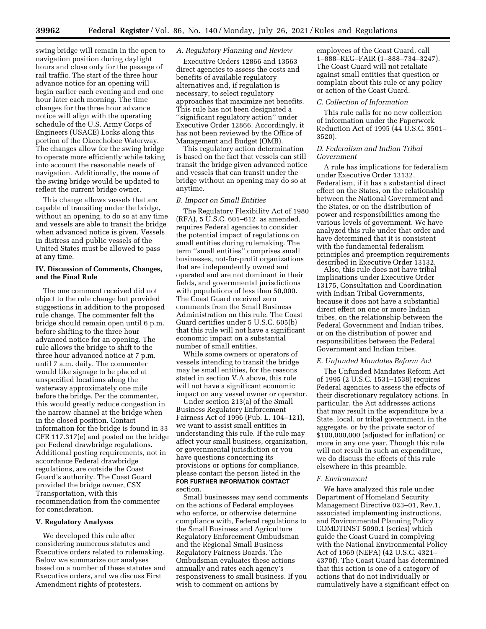swing bridge will remain in the open to navigation position during daylight hours and close only for the passage of rail traffic. The start of the three hour advance notice for an opening will begin earlier each evening and end one hour later each morning. The time changes for the three hour advance notice will align with the operating schedule of the U.S. Army Corps of Engineers (USACE) Locks along this portion of the Okeechobee Waterway. The changes allow for the swing bridge to operate more efficiently while taking into account the reasonable needs of navigation. Additionally, the name of the swing bridge would be updated to reflect the current bridge owner.

This change allows vessels that are capable of transiting under the bridge, without an opening, to do so at any time and vessels are able to transit the bridge when advanced notice is given. Vessels in distress and public vessels of the United States must be allowed to pass at any time.

## **IV. Discussion of Comments, Changes, and the Final Rule**

The one comment received did not object to the rule change but provided suggestions in addition to the proposed rule change. The commenter felt the bridge should remain open until 6 p.m. before shifting to the three hour advanced notice for an opening. The rule allows the bridge to shift to the three hour advanced notice at 7 p.m. until 7 a.m. daily. The commenter would like signage to be placed at unspecified locations along the waterway approximately one mile before the bridge. Per the commenter, this would greatly reduce congestion in the narrow channel at the bridge when in the closed position. Contact information for the bridge is found in 33 CFR 117.317(e) and posted on the bridge per Federal drawbridge regulations. Additional posting requirements, not in accordance Federal drawbridge regulations, are outside the Coast Guard's authority. The Coast Guard provided the bridge owner, CSX Transportation, with this recommendation from the commenter for consideration.

#### **V. Regulatory Analyses**

We developed this rule after considering numerous statutes and Executive orders related to rulemaking. Below we summarize our analyses based on a number of these statutes and Executive orders, and we discuss First Amendment rights of protesters.

## *A. Regulatory Planning and Review*

Executive Orders 12866 and 13563 direct agencies to assess the costs and benefits of available regulatory alternatives and, if regulation is necessary, to select regulatory approaches that maximize net benefits. This rule has not been designated a ''significant regulatory action'' under Executive Order 12866. Accordingly, it has not been reviewed by the Office of Management and Budget (OMB).

This regulatory action determination is based on the fact that vessels can still transit the bridge given advanced notice and vessels that can transit under the bridge without an opening may do so at anytime.

#### *B. Impact on Small Entities*

The Regulatory Flexibility Act of 1980 (RFA), 5 U.S.C. 601–612, as amended, requires Federal agencies to consider the potential impact of regulations on small entities during rulemaking. The term ''small entities'' comprises small businesses, not-for-profit organizations that are independently owned and operated and are not dominant in their fields, and governmental jurisdictions with populations of less than 50,000. The Coast Guard received zero comments from the Small Business Administration on this rule. The Coast Guard certifies under 5 U.S.C. 605(b) that this rule will not have a significant economic impact on a substantial number of small entities.

While some owners or operators of vessels intending to transit the bridge may be small entities, for the reasons stated in section V.A above, this rule will not have a significant economic impact on any vessel owner or operator.

Under section 213(a) of the Small Business Regulatory Enforcement Fairness Act of 1996 (Pub. L. 104–121), we want to assist small entities in understanding this rule. If the rule may affect your small business, organization, or governmental jurisdiction or you have questions concerning its provisions or options for compliance, please contact the person listed in the **FOR FURTHER INFORMATION CONTACT** section.

Small businesses may send comments on the actions of Federal employees who enforce, or otherwise determine compliance with, Federal regulations to the Small Business and Agriculture Regulatory Enforcement Ombudsman and the Regional Small Business Regulatory Fairness Boards. The Ombudsman evaluates these actions annually and rates each agency's responsiveness to small business. If you wish to comment on actions by

employees of the Coast Guard, call 1–888–REG–FAIR (1–888–734–3247). The Coast Guard will not retaliate against small entities that question or complain about this rule or any policy or action of the Coast Guard.

#### *C. Collection of Information*

This rule calls for no new collection of information under the Paperwork Reduction Act of 1995 (44 U.S.C. 3501– 3520).

#### *D. Federalism and Indian Tribal Government*

A rule has implications for federalism under Executive Order 13132, Federalism, if it has a substantial direct effect on the States, on the relationship between the National Government and the States, or on the distribution of power and responsibilities among the various levels of government. We have analyzed this rule under that order and have determined that it is consistent with the fundamental federalism principles and preemption requirements described in Executive Order 13132.

Also, this rule does not have tribal implications under Executive Order 13175, Consultation and Coordination with Indian Tribal Governments, because it does not have a substantial direct effect on one or more Indian tribes, on the relationship between the Federal Government and Indian tribes, or on the distribution of power and responsibilities between the Federal Government and Indian tribes.

#### *E. Unfunded Mandates Reform Act*

The Unfunded Mandates Reform Act of 1995 (2 U.S.C. 1531–1538) requires Federal agencies to assess the effects of their discretionary regulatory actions. In particular, the Act addresses actions that may result in the expenditure by a State, local, or tribal government, in the aggregate, or by the private sector of \$100,000,000 (adjusted for inflation) or more in any one year. Though this rule will not result in such an expenditure, we do discuss the effects of this rule elsewhere in this preamble.

### *F. Environment*

We have analyzed this rule under Department of Homeland Security Management Directive 023–01, Rev.1, associated implementing instructions, and Environmental Planning Policy COMDTINST 5090.1 (series) which guide the Coast Guard in complying with the National Environmental Policy Act of 1969 (NEPA) (42 U.S.C. 4321– 4370f). The Coast Guard has determined that this action is one of a category of actions that do not individually or cumulatively have a significant effect on